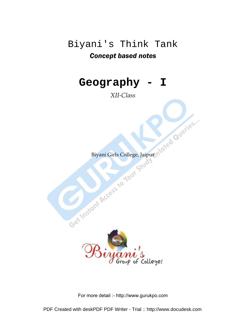# Biyani's Think Tank Concept based notes

# **Geography - I**

*XII-Class* 



For more detail :- http://www.gurukpo.com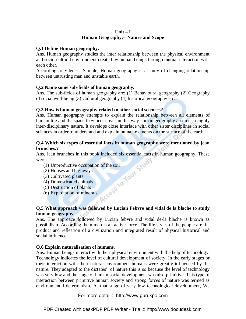#### **Unit – I Human Geography:- Nature and Scope**

#### **Q.1 Define Human geography.**

Ans. Human geography studies the inter relationship between the physical environment and socio-cultural environment created by human beings through mutual interaction with each other.

According to Ellen C. Sample, Human geography is a study of changing relationship between untrusting man and unstable earth.

#### **Q.2 Name some sub-fields of human geography.**

Ans. The sub-fields of human geography are: (1) Behavioural geography (2) Geography of social well-being (3) Cultural geography (4) historical geography etc.

#### **Q.3 How is human geography related to other social sciences?**

Ans. Human geography attempts to explain the relationship between all elements of human life and the space they occur over in this way human geography assumes a highly inter-disciplinary nature. It develops close interface with other sister disciplines in social sciences in order to understand and explain human elements on the surface of the earth.

#### **Q.4 Which six types of essential facts in human geography were mentioned by jean brunches.?**

Ans. Jean brunches in this book included six essential facts in human geography. These<br>were.<br>
(1) Unproductive occupation of the soil<br>
(2) Houses and highways<br>
(3) Cultivated plants<br>
(4) Domesticated animals<br>
(5) Destructi were.

- (1) Unproductive occupation of the soil
- (2) Houses and highways
- (3) Cultivated plants
- (4) Domesticated animals
- (5) Destruction of plants
- (6) Exploitation of minerals.

#### **Q.5 What approach was followed by Lucian Febvre and vidal de la blache to study human geography.**

Ans. The approace followed by Lucian febvre and vidal de-la blache is known as possibilism. According them man is an active force. The life styles of the people are the product and refleation of a civilization and integrated result of physical historical and social influence.

#### **Q.6 Explain naturalisation of humans.**

Ans. Human beings interact with their physical environment with the help of technology. Technology indicates the level of cultural development of society. In the early stages or their interaction with their natural environment humans were greatly influenced by the nature. They adapted to the dictates'. of nature this is so because the level of technology was very low and the stage of human social development was also primitive. This type of interaction between primitive human society and strong forces of nature was termed as environmental determinism. At that stage of very low technological development, We

For more detail :- http://www.gurukpo.com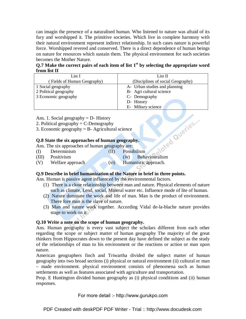can imagin the presence of a naturalised human. Who listened to nature was afraid of its fury and worshipped it. The primitive societies. Which live in complete harmony with their natural environment represent indirect relationship. In such cases nature is powerful force. Worshipped revered and conserved. There is a direct dependence of human beings on nature for resources which sustain them. The physical environment for such societies becomes the Mother Nature.

**Q.7 Make the correct pairs of each item of list 1st by selecting the appropriate word from list II** 

| List I                     | List II                           |
|----------------------------|-----------------------------------|
| Fields of Human Geography) | (Disciplines of social Geography) |
| 1 Social geography         | A- Urban studies and planning     |
| 2 Political geography      | B- Agri cultural science          |
| 3 Economic geography       | C- Demography                     |
|                            | D- History                        |
|                            | E- Miltary science                |

Ans. 1. Social geography  $= D$ - History

- 2. Political geography  $= C$ -Demography
- 3. Economic geography  $=$  B- Agricultural science

#### **Q.8 State the six approaches of human geography.**

Ans. The six approaches of human geography are:

(I) Determinism (II) Possibilism

| (III) | <b>Positivism</b> |      | (iv) | Behaviouralism       |
|-------|-------------------|------|------|----------------------|
| (V)   | Welfare approach  | (V1) |      | Humanistic approach. |

#### **Q.9 Describe in brief humanization of the Nature in brief in three points.**

Ans. Human is passive agent influenced by the environmental factors.

- (1) There is a close relationship between man and nature. Physical elements of nature such as climate, Lend, social, Mineral water etc. Influence mode of lite of human.
- (2) Nature dominate the work and life of man. Man is the product of environment. There fore man is the slave of nature.
- (3) Man and nature work together. According Vidal de-la-blache nature provides stage to work on it.

#### **Q.10 Write a note on the scope of human geography.**

Ans. Human geography is every vast subject the scholars different from each other regarding the scope or subject matter of human geography The majority of the great thinkers from Hippocrates down to the present day have defined the subject as the study of the relationships of man to his environment or the reactions or action or man upon nature.

American geographers finch and Triwartha divided the subject matter of human geography into two broad sections (i) physical or natural environment (ii) cultural or man – made environment. physical environment consists of phenomena such as human settlements as well as features associated with agriculture and transportation.

Prop. E Huntington divided human geography as (i) physical conditions and (ii) human responses.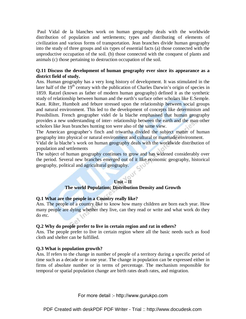Paul Vidal de la blanches work on human geography deals with the worldwide distribution of population and settlements; types and distributing of elements of civilization and various forms of transportation. Jean branches divide human geography into the study of three groups and six types of essential facts (a) those connected with the unproductive occupation of the soil. (b) those connected with the conquest of plants and animals (c) those pertaining to destruction occupation of the soil.

#### **Q.11 Discuss the development of human geography ever since its appearance as a district field of study.**

Ans. Human geography has a very long history of development. It was stimulated in the later half of the  $19<sup>th</sup>$  century with the publication of Charles Darwin's origin of species in 1859. Ratzel (known as father of modern human geography) defined it as the synthetic study of relationship between human and the earth's surface other scholars like E.Semple. Kant. Rilter, Humbolt and febure stressed upon the relationship between social groups and natural environment. This led to the development of concepts like determinism and Possibilism. French geographer videl de la blache emphasised that human geography provides a new understanding of inter- relationship between the earth and the man other scholors like Jean branches hunting ton were also of the same view.

The American geographer's finch and triwartha divided the subject matter of human geography into physical or natural environment and cultural or manmade environment.

Vidal de la blache's work on human geography deals with the worldwide distribution of population and settlements

The subject of human geography continues to grow and has widened considerably over the period. Several new branches emerged out of it like economic geography, historical geography, political and agricultural geography.

#### **Unit – II**

#### **The world Population; Distribution Density and Growth**

#### **Q.1 What are the people in a Country really like?**

Ans. The people of a country like to know how many children are born each year. How many people are dying whether they live, can they read or write and what work do they do etc.

#### **Q.2 Why do people prefer to live in certain region and rat in others?**

Ans. The people prefer to live in certain region where all the basic needs such as food cloth and shelter can be fulfilled.

#### **Q.3 What is population growth?**

Ans. If refers to the change in number of people of a territory during a specific period of time such as a decade or in one year. The change in population can be expressed either in firms of absolute number or in terms of percentage. The mechanism responsible for temporal or spatial population change are birth rates death rates, and migration.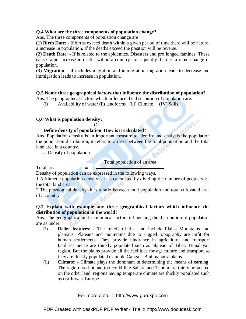#### **Q.4 What are the three components of population change?**

Ans. The three components of population change are

**(1) Birth Date**: - If births exceed death within a given period of time there will be natural a increase in population. If the deaths exceed the position will be reverse.

**(2) Death Rate**: - If is related to the epidemics. Disasters and pro longed famines. These cause rapid increase in deaths within a country consequently there is a rapid change in population.

**(3) Migration**: - if includes migration and immigration migration leads to decrease and immigration leads to increase in population.

#### **Q.5 Name three geographical factors that influence the distribution of population?**

Ans. The geographical factors which influence the distribution of population are.

(i) Availability of water (ii) landforms (iii) Climate (IV) Soils.

#### **Q.6 What is population density?**

Or

#### **Define density of population. How is it calculated?**

Ans. Population density is an important measure to identify and analysis the population the population distribution, it refers to a ratio between the total population and the total land area in a country.

1. Density of population

Total population of an area

olles."

Total area

Density of population can be expressed in the following ways.

**=**

1 Arithmetic population density: - It is calculated by dividing the number of people with the total land area.

2 The physiogical density:-It is a ratio between total population and total cultivated area of a country.

#### **Q.7 Explain with example any three geographical factors which influence the distribution of population in the world?**

Ans. The geographical and economical factors influencing the distribution of population are as under:

- (i) **Relief features**: The reliefs of the land include Plains Mountains and plateaus. Plateaus and mountains due to rugged topography are unfit for human settlements. They provide hindrance in agriculture and transport facilities hence are thickly populated such as plateau of Tibet. Himalayan region. But the plains provide all the facilities for agriculture and transport so they are thickly populated example Ganga – Brahmaputra plains.
- (ii) **Climate**: Climate plays the dominant in determining the means of earning. The region too hot and too could like Sahara and Tundra are thinly populated on the other land, regions having temperate climate are thickly populated such as north-west Europe.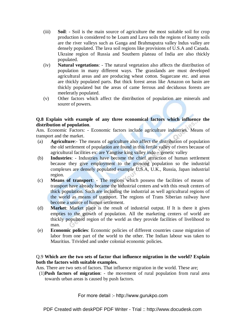- (iii) **Soil**: Soil is the main source of agriculture the most suitable soil for crop production is considered to be Loam and Lava soils the regions of loamy soils are the river valleys such as Ganga and Brahmaputra valley lndus valley are densely populated. The lava soil regions like provisions of U.S.A and Canada. Ukraine region of Russia and Southern plateau of India are also thickly populated.
- (iv) **Natural vegetations**: The natural vegetation also affects the distribution of population in many different ways. The grasslands are must developed agricultural areas and are producing wheat cotton. Sugarcane etc. and areas are thickly populated parts. But thick forest areas like Amazon on basin are thickly populated but the areas of came ferrous and deciduous forests are meeleratly populated.
- (v) Other factors which affect the distribution of population are minerals and sourer of powers.

#### **Q.8 Explain with example of any three economical factors which influence the distribution of population**.

Ans. Economic Factors: - Economic factors include agriculture industries. Means of transport and the market.

- (a) **Agriculture**:- The means of agriculture also affect the distribution of population the old settlement of population are found in this fertile valley of rivers because of agricultural facilities ex: are Yangtise king valley indo – genetic valley
- (b) **Industries**: Industries have become the chief attraction of human settlement because they give employment to the growing population so the industrial complexes are densely populated example U.S.A, U.K., Russia, Japan industrial region.
- (c) **Means of transport**: The regions which possess the facilities of means of transport have already became the industrial centers and with this result centers of thick population. Such are including the industrial as well agricultural regions of the world as means of transport. The regions of Trans Siberian railway have become a source of human settlement.
- (d) **Market**: Market place is the result of industrial output. If It is there it gives empties to the growth of population. All the marketing centers of world are thickly populated region of the world as they provide facilities of livelihood to man.
- (e) **Economic policies**: Economic policies of different countries cause migration of labor from one part of the world to the other. The Indian labour was taken to Mauritius. Trivided and under colonial economic policies.

#### Q.9 **Which are the two sets of factor that influence migration in the world? Explain both the factors with suitable examples.**

Ans. There are two sets of factors. That influence migration in the world. These are;

(1)**Push factors of migration**: - the movement of rural population from rural area towards urban areas is caused by push factors.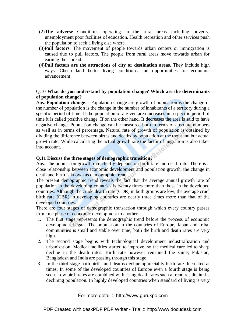- (2)**The adverse** Conditions operating in the rural areas including poverty, unemployment poor facilities of education. Health recreation and other services push the population to seek a living else where.
- (3)**Pull factors**: The movement of people towards urban centers or immigration is caused due to pull factors. The people from rural areas move towards urban for earning their bread.
- (4)**Pull factors are the attractions of city or destination areas**. They include high ways. Cheep land better living conditions and opportunities for economic advancement.

#### Q.10 **What do you understand by population change? Which are the determinants of population change?**

Ans. **Population change**: - Population change are growth of population is the change in the number of population is the change in the number of inhabitants of a territory during a specific period of time. It the population of a given area increases in a specific period of time it is called positive change. If on the other hand. It decreases the area is said to have negative change. Population change can be measured both in terms of absolute numbers as well as in terms of percentage. Natural rate of growth of population is obtained by dividing the difference between births and deaths by population at the thousand but actual growth rate. While calculating the actual growth rate the factor of migration is also taken into account.

#### **Q.11 Discuss the three stages of demographic transition?**

Ans. The population growth rate chiefly depends on birth rate and death rate. There is a close relationship between economic development and population growth, the change in death and birth is known as demographic trend.

The present demographic trend reveals the fact that the average annual growth rate of population in the developing countries is twenty times more than those in the developed countries. Although the crude dearth rate (CDR) in both groups are low, the average cruel birth rate (CBR) in developing countries are nearly three times more than that of the developed countries.

There are four stages of demographic transaction through which every country passes from one phase of economic development to another.

- 1. The first stage represents the demographic trend before the process of economic development began. The population in the countries of Europe, Japan and tribal communities is small and stable over time; both the birth and death rates are very high.
- 2. The second stage begins with technological development industrialization and urbanization. Medical facilities started to improve, so the medical care led to sharp decline in the death rates. Birth rate however remained the same; Pakistan, Bangladesh and India are passing through this stage.
- 3. In the third stage both births and deaths decline appreciably birth rate fluctuated at times. In some of the developed countries of Europe even a fourth stage is being seen. Low birth rates are combined with rising death rates such a trend results in the declining population. In highly developed countries when standard of living is very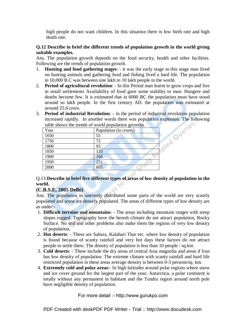high people do not want children. In this situation there is low birth rate and high death rate.

#### **Q.12 Describe in brief the different trends of population growth in the world giving suitable examples.**

Ans. The population growth depends on the food security, health and other facilities. Following are the trends of population growth.

- 1. **Hunting and food gathering stages**: it was the early stage in this stage man lived on hunting animals and gathering food and fishing lived a hard life. The population in 10,000 B.C was between one lakh to 10 lakh people in the world.
- 2. **Period of agricultural revolution**: In this Period man learnt to grow crops and live in small settlements Availability of food gave some stability to man. Hungere and deaths become few. It is estimated that in 6000 BC the population must have stood around so lakh people. In the first century AD. the population was estimated at around 25.6 crore.
- 3. **Period of industrial Revolution**: in the period of industrial revolution population table shows the trends of world population growths.

|                                | table shows the trends of world population growths. |  |  |  |  |
|--------------------------------|-----------------------------------------------------|--|--|--|--|
| Population (in crores)<br>Year |                                                     |  |  |  |  |
| 1650<br>55                     |                                                     |  |  |  |  |
| 1750<br>72                     |                                                     |  |  |  |  |
| 1800<br>93                     |                                                     |  |  |  |  |
| 1850<br>133                    |                                                     |  |  |  |  |
| 1900<br>166                    |                                                     |  |  |  |  |
| 1950<br>251                    |                                                     |  |  |  |  |
| 2000<br>605                    |                                                     |  |  |  |  |

#### Q.13 **Describe in brief five different types of areas of low density of population in the world.**   $RQ$

#### **(C.B.S.E, 2005 Delhi)**

Ans. The population in unevenly distributed some parts of the world are very scantly populated and some are densely populated. The areas of different types of low density are as under:-

- 1. **Difficult terrains and mountains**: The areas including mountain ranges with steep slopes rugged. Topography have the heresh climate do not attract population, Rocky Surface. No soil and other problems also make them the regions of very low density of population,
- 2. **Hot deserts**: These are Sahara, Kalahari Thar etc. where low density of population is found because of scanty rainfull and very hot days these factors do not attract people to settle there. The density of population is less than 10 people / sq.km
- 3. **Cold deserts**: These include the dry areas of central Asia magnolia and areas if Iran has low density of population. The extreme climate with scanty rainfall and hard life restricted population in these areas average density is between 0-3 persons/sq. km.
- 4. **Extremely cold and polar areas**:- In high latitudes around polar regions where snow and ice cover ground for the largest part of the year, Antarctica, a polar continent is totally without any permanent in habitant and the Tundra region around north pole have negligible density of population.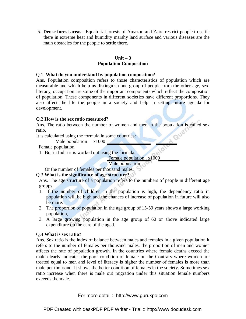5. **Dense forest areas**:- Equatorial forests of Amazon and Zaire restrict people to settle there in extreme heat and humidity marshy land surface and various diseases are the main obstacles for the people to settle there.

#### **Unit – 3 Population Composition**

#### Q.1 **What do you understand by population composition?**

Ans. Population composition refers to those characteristics of population which are measurable and which help us distinguish one group of people from the other age, sex, literacy, occupation are some of the important components which reflect the composition of population. These components in different societies have different proportions. They also affect the life the people in a society and help in setting future agenda for development.

#### Q.2 **How is the sex ratio measured?**

Ans. The ratio between the number of women and men in the population is called sex ratio,

It is calculated using the formula in some countries:

Male population x1000

Female population

1. But in India it is worked out using the formula.

Female population x1000

Male population

Or the number of females per thousand males.

#### Q.3 **What is the significance of age structure?**

Ans. The age structure of a population refers to the numbers of people in different age groups.

- 1. If the number of children in the population is high, the dependency ratio in population will be high and the chances of increase of population in future will also be more.
- 2. The proportion of population in the age group of 15-59 years shows a large working population,
- 3. A large growing population in the age group of 60 or above indicated large expenditure on the care of the aged.

#### Q.4 **What is sex ratio?**

Ans. Sex ratio is the index of balance between males and females in a given population it refers to the number of females per thousand males, the proportion of men and women affects the rate of population growth. In the countries where female deaths exceed the male clearly indicates the poor condition of female on the Contrary where women are treated equal to men and level of literacy is higher the number of females is more than male per thousand. It shows the better condition of females in the society. Sometimes sex ratio increase when there is male out migration under this situation female numbers exceeds the male.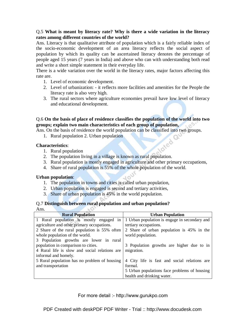#### Q.5 **What is meant by literacy rate? Why is there a wide variation in the literacy rates among different countries of the world?**

Ans. Literacy is that qualitative attribute of population which is a fairly reliable index of the socio-economic development of an area literacy reflects the social aspect of population by which its quality can be ascertained literacy denotes the percentage of people aged 15 years (7 years in India) and above who can with understanding both read and write a short simple statement in their everyday life.

There is a wide variation over the world in the literacy rates, major factors affecting this rate are.

- 1. Level of economic development.
- 2. Level of urbanization: it reflects more facilities and amenities for the People the literacy rate is also very high.
- 3. The rural sectors where agriculture economies prevail have low level of literacy and educational development.

#### Q.6 **On the basis of place of residence classifies the population of the world into two groups; explain two main characteristics of each group of population,**

Ans. On the basis of residence the world population can be classified into two groups.

1. Rural population 2. Urban population

#### **Characteristics**:

- 1. Rural population
- Noted 2. The population living in a village is known as rural population.
- 3. Rural population is mostly engaged in agriculture and other primary occupations,
- 4. Share of rural population is 55% of the whole population of the world.

#### **Urban population**:

- 1. The population in towns and cities is called urban population,
- 2. Urban population is engaged is second and tertiary activities,
- 3. Share of urban population is 45% in the world population.

#### Q.7 **Distinguish between rural population and urban population?**

 $h<sup>o</sup>$ 

Ans.

| <b>Rural Population</b>                       | <b>Urban Population</b>                       |
|-----------------------------------------------|-----------------------------------------------|
| 1 Rural population is mostly engaged in       | 1 Urban population is engage in secondary and |
| agriculture and other primary occupations.    | tertiary occupations.                         |
| 2 Share of the rural population is 55% often  | 2 Share of urban population is 45% in the     |
| whole population of the world.                | world population.                             |
| 3 Population growths are lower in rural       |                                               |
| population in comparison to cities.           | 3 Population growths are higher due to in     |
| 4 Rural life is slow and social relations are | migration.                                    |
| informal and homely.                          |                                               |
| 5 Rural population has no problem of housing  | 4 City life is fast and social relations are  |
| and transportation                            | formal.                                       |
|                                               | 5 Urban populations face problems of housing  |
|                                               | health and drinking water.                    |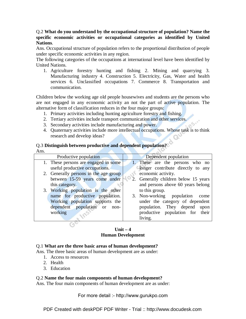#### Q.2 **What do you understand by the occupational structure of population? Name the specific economic activities or occupational categories as identified by United Nations**.

Ans. Occupational structure of population refers to the proportional distribution of people under specific economic activities in any region.

The following categories of the occupations at international level have been identified by United Nations.

1. Agriculture forestry hunting and fishing 2. Mining and quarrying 3. Manufacturing industry 4. Construction 5. Electricity, Gas, Water and health services 6. Unclassified occupations 7. Commerce 8. Transportation and communication.

Children below the working age old people housewives and students are the persons who are not engaged in any economic activity an not the part of active population. The alternative form of classification reduces in the four major groups:

- 1. Primary activities including hunting agriculture forestry and fishing.
- 2. Tertiary activities include transport communication and other services.
- 3. Secondary activities include manufacturing and power.
- 4. Quaternary activities include more intellectual occupations. Whose task is to think research and develop ideas?

#### Q.3 **Distinguish between productive and dependent population?**

| Productive population                 | Dependent population                 |
|---------------------------------------|--------------------------------------|
| 1. These persons are engaged in some  | 1. These are the persons who no      |
| useful productive occupations.        | longer contribute directly to any    |
| 2. Generally persons in the age group | economic activity.                   |
| between 15-59 years come under        | 2. Generally children below 15 years |
| this category.                        | and persons above 60 years belong    |
| 3. Working population is the other    | to this group.                       |
| name for productive population.       | 3. Non-working population<br>come    |
| Working population supports the       | under the category of dependent      |
| dependent population or<br>non-       | population. They depend upon         |
| working                               | productive population for their      |
|                                       | living.                              |
|                                       |                                      |

#### $\text{Unit} - 4$ **Human Development**

#### Q.1 **What are the three basic areas of human development?**

Ans. The three basic areas of human development are as under:

- 1. Access to resources
- 2. Health
- 3. Education

#### Q.2 **Name the four main components of human development?**

Ans. The four main components of human development are as under: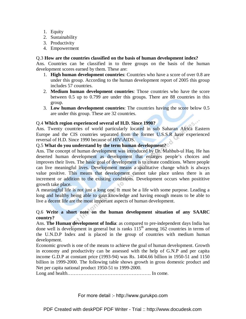- 1. Equity
- 2. Sustainability
- 3. Productivity
- 4. Empowerment

#### Q.3 **How are the countries classified on the basis of human development index?**

Ans. Countries can be classified in to three groups on the basis of the human development scores earned by them. These are:

- 1. **High human development countries**: Countries who have a score of over 0.8 are under this group. According to the human development report of 2005 this group includes 57 countries.
- 2. **Medium human development countries**: Those countries who have the score between 0.5 up to 0.799 are under this groups. There are 88 countries in this group.
- 3. **Low human development countries**: The countries having the score below 0.5 are under this group. These are 32 countries.

#### Q.4 **Which region experienced several of H.D. Since 1990?**

Ans. Twenty countries of world particularly located in sub Saharan Africa Eastern Europe and the CIS countries separated from the former U.S.S.R have experienced reversal of H.D. Since 1990 because of HIV\AIDS.

#### Q.5 **What do you understand by the term human development?**

Ans. The concept of human development was introduced by Dr. Mahbub-ul Haq. He has deserted human development as development that enlarges people's choices and improves their lives. The basic goal of development is to create conditions. Where people can live meaningful lives. Development means a qualitative change which is always value positive. This means that development cannot take place unless there is an increment or addition to the existing conditions. Development occurs when posititive growth take place.

A meaningful life is not just a long one. It must be a life with some purpose. Leading a long and healthy being able to gain knowledge and having enough means to be able to live a decent life are the most important aspects of human development.

#### Q.6 **Write a short note on the human development situation of any SAARC country?**

Ans. **The Human development of India**: as compared to pre-independent days India has done well is development in general but is ranks  $115<sup>th</sup>$  among  $162$  countries in terms of the U.N.D.P Index and is placed in the group of countries with medium human development.

Economic growth is one of the means to achieve the goal of human development. Growth in economy and productivity can be assessed with the help of G.N.P and per capita income G.D.P at constant price (1993-94) was Rs. 1404.66 billion in 1950-51 and 1150 billion in 1999-2000. The following table shows growth in gross domestic product and Net per capita national product 1950-51 to 1999-2000.

Long and health……………………………………………. In come.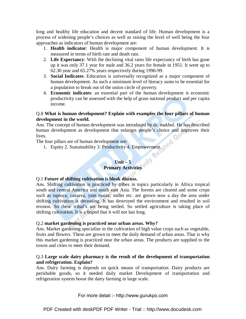long and healthy life education and decent standard of life. Human development is a process of widening people's choices as well as raising the level of well being the four approaches as indicators of human development are:

- 1. **Health indicator**: Health is major component of human development. It is measured in terms of birth rate and death rate.
- 2. **Life Expectancy**: With the declining vital rates life expectancy of birth has gone up it was only 37.1 year for male and 36.2 years for female in 1951. It went up to 62.30 year and 65.27% years respectively during 1996-99.
- 3. **Social Indicates**: Education is universally recognized as a major component of human development. As such a minimum level of literacy sums to be essential for a population to break out of the union circle of poverty.
- 4. **Economic indicates**: an essential part of the human development is economic productivity can be assessed with the help of grass national product and per capita income.

#### Q.8 **What is human development? Explain with examples the four pillars of human development in the world.**

Ans. The concept of human development was introduced by dr. makbul. He has described human development as development that enlarges people's choice and improves their lives.

The four pillars are of human development are:

1. Equity 2. Sustainability 3. Productivity 4. Empowerment.

#### **Unit – 5 Primary Activities**

#### Q.1 **Future of shifting cultivation is bleak discuss.**

Ans. Shifting cultivation is practiced by tribes in topics particularly in Africa tropical south and central America and south east Asia. The forests are cleared and some crops such as tapioca, cassava, yam maize, millet etc. are grown now a day the area under shifting cultivation is deceasing. It has destroyed the environment and resulted in soil erosion. So these tribal's are being settled. So settled agriculture is taking place of shifting cultivation. It is a hoped that it will not last long.

#### Q.2 **market gardening is practiced near urban areas. Why?**

Ans. Market gardening specialise in the cultivation of high value crops such as vegetable, fruits and flowers. These are grown to meet the daily demand of urban areas. That is why this market gardening is practiced near the urban areas. The products are supplied to the towns and cities to meet their demand.

#### Q.3 **Large scale dairy pharmacy is the result of the development of transportation and refrigeration. Explain?**

Ans. Dairy farming is depends on quick means of transportation. Dairy products are perishable goods, so it needed daily market Development of transportation and refrigeration system boost the dairy farming in large scale.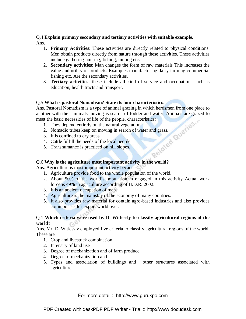#### Q.4 **Explain primary secondary and tertiary activities with suitable example.**  Ans.

- 1. **Primary Activities**: These activities are directly related to physical conditions. Men obtain products directly from nature through these activities. These activities include gathering hunting, fishing, mining etc.
- 2. **Secondary activities**: Man changes the form of raw materials This increases the value and utility of products. Examples manufacturing dairy farming commercial fishing etc. Are the secondary activities.
- 3. **Tertiary activities**: these include all kind of service and occupations such as education, health tracts and transport.

#### Q.5 **What is pastoral Nomadism? State its four characteristics**.

Ans. Pastoral Nomadism is a type of animal grazing in which herdsmen from one place to another with their animals moving is search of fodder and water. Animals are grazed to meet the basic necessities of life of the people, characteristics:<br>
1. They depend entirely on the natural vegetation.<br>
2. Nomadic trib meet the basic necessities of life of the people, characteristics:

- 1. They depend entirely on the natural vegetation.
- 2. Nomadic tribes keep on moving in search of water and grass.
- 3. It is confined to dry areas.
- 4. Cattle fulfill the needs of the local people.
- 5. Transhumance is practiced on hill slopes.

#### Q.6 **Why is the agriculture most important activity in the world?**

Ans. Agriculture is most important activity because:

- 1. Agriculture provide food to the whole population of the world.
- 2. About 50% of the world's population in engaged in this activity Actual work force is 49% in agriculture according of H.D.R. 2002.
- 3. It is an ancient occupation of man.
- 4. Agriculture is the mainstay of the economy of many countries.
- 5. It also provides raw material for contain agro-based industries and also provides commodities for export world over.

#### Q.1 **Which criteria were used by D. Witlessly to classify agricultural regions of the world?**

Ans. Mr. D. Witlessly employed five criteria to classify agricultural regions of the world. These are

- 1. Crop and livestock combination
- 2. Intensity of land use
- 3. Degree of mechanization and of farm produce
- 4. Degree of mechanization and
- 5. Types and association of buildings and other structures associated with agriculture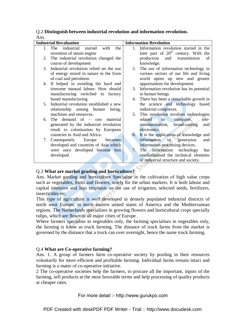|      | <b>Industrial Revaluation</b>              |    | <b>Information Revolution</b>                           |
|------|--------------------------------------------|----|---------------------------------------------------------|
|      | with<br>1. The industrial started<br>the   | 1  | Information revolution started in the                   |
|      | invention of steam engine                  |    | later part of $20th$ century. With the                  |
| 2.   | The industrial revolution changed the      |    | production<br>and<br>transmission<br>of                 |
|      | course of development                      |    | knowledge.                                              |
| 3.   | Industrial revolution relied on the use    | 2. | The use of information technology in                    |
|      | of energy stored in nature in the from     |    | various sectors of our life and living                  |
|      | of coal and petroleum                      |    | world opens up new and greater                          |
| 4.   | If helped in avoiding the hard and         |    | opportunities for development.                          |
|      | tiresome manual labour. How should         | 3. | Information revolution has its potential                |
|      | manufacturing switched to factory          |    | in human beings.                                        |
|      | based manufacturing                        | 4. | There has been a remarkable growth in                   |
|      | 5. Industrial revolution established a new |    | the science and technology based                        |
|      | relationship among human<br>being.         |    | industrial complexes.                                   |
|      | machines and resources.                    | 5. | This revolution involves technologies                   |
| 6.   | The demand of $-$ raw<br>material          |    | related<br>computer,<br>tele-<br>$\bullet$ to $\bullet$ |
|      | generated by the industrial revolution     |    | broad-casting<br>communication,<br>and                  |
|      | result to colonization by European         |    | electronics.                                            |
|      | countries in Asid and Africa.              | 6. | It is the application of knowledge and                  |
| 7.   | Consequently Europe<br>becomes             |    | information to generation<br>and                        |
|      | developed and countries of Asia which      |    | information processing devices.                         |
|      | were once developed become less            | 7. | The information technology<br>has                       |
|      | developed.                                 |    | revolutionised the technical elements                   |
|      |                                            |    | of industrial structure and society.                    |
| >2.5 |                                            |    |                                                         |

#### Q.2 **Distinguish between industrial revolution and information revolution.** Ans.

## Q.3 **What are market grading and horticulture?**

Ans. Market garding and horticulture Specialise in the cultivation of high value crops such as vegetables, fruits and flowers, solely for the urban markets. It is both labour and capital intensive and lays emphasis on the use of irrigation, selected seeds, fertilizers, insecticides etc.

This type of agriculture is well developed in densely populated industrial districts of north west Europe, in north eastern united states of America and the Mediterranean regions. The Netherlands specializes in growing flowers and horticultural crops specially tulips, which are flown to all major cities of Europe .

Where farmers specialise in vegetables only, the farming specialises in vegetables only, the farming is know as truck farming. The distance of truck farms from the market is governed by the distance that a truck can over overnight, hence the name truck farming.

#### Q.4 **What are Co-operative farming?**

Ans. 1. A group of farmers farm co-operative society by pooling in their resources voluntarily for more efficient and profitable farming. Individual farms remain intact and farming is a mater of co-operative initiative.

2 The co-operative societies help the farmers, to procure all the important, inputs of the farming, sell products at the most favorable terms and help processing of quality products at cheaper rates.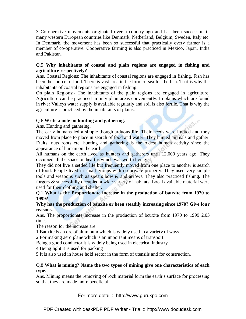3 Co-operative movements originated over a country ago and has been successful in many western European countries like Denmark, Netherland, Belgium, Sweden, Italy etc. In Denmark, the movement has been so successful that practically every farmer is a member of co-operative. Cooperative farming is also practiced in Mexico, Japan, India and Pakistan.

#### Q.5 **Why inhabitants of coastal and plain regions are engaged in fishing and agriculture respectively?**

Ans. Coastal Regions: The inhabitants of coastal regions are engaged in fishing. Fish has been the source of food. There is vast area in the form of sea for the fish. That is why the inhabitants of coastal regions are engaged in fishing.

On plain Regions:- The inhabitants of the plain regions are engaged in agriculture. Agriculture can be practiced in only plain areas conveniently. In plains which are found in river Valleys water supply is available regularly and soil is also fertile. That is why the agriculture is practiced by the inhabitants of plains.

#### Q.6 **Write a note on hunting and gathering.**

Ans. Hunting and gathering.

The early humans led a simple though arduous life. Their needs were limited and they moved from place to place in search of food and water. They hunted animals and gather. Fruits, nuts roots etc. hunting and gathering is the oldest human activity since the appearance of human on the earth.

All humans on the earth lived as hunters and gatherers until 12,000 years ago. They occupied all the space on hearths which was worth living.

They did not live a settled life but frequently moved from one place to another is search of food. People lived in small groups with no private property. They used very simple tools and weapons such as spears bow & and arrows. They also practiced fishing. The forgers & successfully occupied a wide variety of habitats. Local available material were used for their clothing and shelter.

#### Q.1 **What is the Proportionate increase in the production of bauxite from 1970 to 1999?**

#### **Why has the production of bauxite or been steadily increasing since 1970? Give four reasons.**

Ans. The proportionate increase in the production of bcuxite from 1970 to 1999 2.03 times.

The reason for the increase are:

1 Bauxite is an ore of aluminum which is widely used in a variety of ways.

2 For making aero plane which is an important means of transport.

Being a good conductor it is widely being used in electrical industry.

4 Being light it is used for packing

5 It is also used in house hold sector in the form of utensils and for construction.

#### Q.8 **What is mining? Name the two types of mining give one characteristics of each type.**

Ans. Mining means the removing of rock material form the earth's surface for processing so that they are made more beneficial.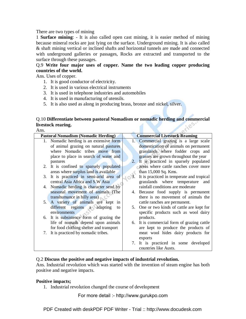There are two types of mining

1 **Surface mining**: - It is also called open cast mining, it is easier method of mining because mineral rocks are just lying on the surface. Underground mining. It is also called & shaft mining vertical or inclined shafts and horizontal tunnels are made and connected with underground galleries or passages, Rocks are extracted and transported to the surface through these passages.

Q.9 **Write four major uses of copper. Name the two leading copper producing countries of the world.** 

Ans. Uses of copper.

- 1. It is good conductor of electricity.
- 2. It is used in various electrical instruments
- 3. It is used in telephone industries and automobiles
- 4. It is used in manufacturing of utensils.
- 5. It is also used as along in producing brass, bronze and nickel, silver.

#### Q.10 **Differentiate between pastoral Nomadism or nomadic herding and commercial livestock rearing.**

| <b>Pastoral Nomadism (Nomadic Herding)</b> |    | <b>Commercial Livestock Reaming</b>       |
|--------------------------------------------|----|-------------------------------------------|
| 1. Nomadic herding is an extensive form    |    | Commercial grazing is a large scale       |
| of animal grazing on natural pastures      |    | domestication of animals on permanent     |
| where Nomadic tribes move from             |    | grasslands where fodder crops and         |
| place to place in search of water and      |    | grasses are grown throughout the year     |
| pastures                                   |    | 2. It is practiced in sparsely populated  |
| 2. It is confined to sparsely populated    |    | areas where cattle ranches cover more     |
| areas where surplus land is available      |    | than 15,000 Sq. Kms.                      |
| 3. It is practiced in semi-arid area of    |    | It is practiced in temperate and tropical |
| central Asia Africa and S.W Asia           |    | grasslands where temperature<br>and       |
| 4. Nomadic herding is character send by    |    | rainfall conditions are moderate          |
| seasonal movement of animals (The          |    | 4. Because food supply is permanent       |
| transhumance in hilly area)                |    | there is no movement of animals the       |
| 5. A variety of animals are kept in        |    | cattle ranches are permanent.             |
| different regions a adapting<br>to         | 5. | One or two kinds of cattle are kept for   |
| environments                               |    | specific products such as wool dairy      |
| 6. It is subsistence form of grazing the   |    | products.                                 |
| life of nomads depend upon animals         | 6. | It is commercial form of grazing cattle   |
| for food clothing shelter and transport    |    | are kept to produce the products of       |
| 7. It is practiced by nomadic tribes.      |    | meat wool hides dairy products for        |
|                                            |    | exports                                   |
|                                            |    | 7. It is practiced in some developed      |
|                                            |    | countries like Austs.                     |

#### Q.2 **Discuss the positive and negative impacts of industrial revolution.**

Ans. Industrial revolution which was started with the invention of steam engine has both positive and negative impacts.

#### **Positive impacts;**

1. Industrial revolution changed the course of development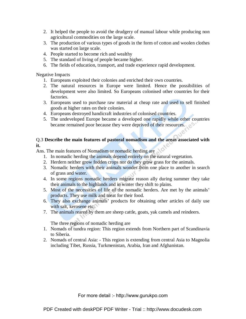- 2. It helped the people to avoid the drudgery of manual labour while producing non agricultural commodities on the large scale.
- 3. The production of various types of goods in the form of cotton and woolen clothes was started on large scale.
- 4. People started to become rich and wealthy
- 5. The standard of living of people became higher.
- 6. The fields of education, transport, and trade experience rapid development.

Negative Impacts

- 1. Europeans exploited their colonies and enriched their own countries.
- 2. The natural resources in Europe were limited. Hence the possibilities of development were also limited. So Europeans colonised other countries for their factories.
- 3. Europeans used to purchase raw material at cheap rate and used to sell finished goods at higher rates on their colonies.
- 4. Europeans destroyed handicraft industries of colonised countries.
- 5. The undeveloped Europe became a developed one rapidly while other countries became remained poor because they were deprived of their resources.

#### Q.3 **Describe the main features of pastoral nomadism and the areas associated with it.**

Ans. The main features of Nomadism or nomadic herding are

- 1. In nomadic herding the animals depend entirely on the natural vegetation.
- 2. Herdern neither grow fodden crops nor do they grow grass for the animals.
- 3. Nomadic herders with their animals wonder from one place to another in search of grass and water.
- 4. In some regions nomadic herders migrate reason ally during summer they take their animals to the highlands and in winter they shift to plains.
- 5. Most of the necessities of life of the nomadic herders. Are met by the animals' products. They use milk and meat for their food.
- 6. They also exchange animals' products for obtaining other articles of daily use with salt, kerosene etc.
- 7. The animals reared by them are sheep cattle, goats, yak camels and reindeers.

The three regions of nomadic herding are

- 1. Nomads of tundra region: This region extends from Northern part of Scandinavia to Siberia.
- 2. Nomads of central Asia: This region is extending from central Asia to Magnolia including Tibet, Russia, Turkmenistan, Arabia, Iran and Afghanistan.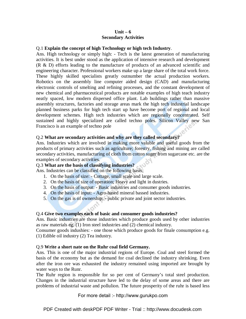#### **Unit – 6 Secondary Activities**

#### Q.1 **Explain the concept of high Technology or high tech Industry**.

Ans. High technology or simply high: - Tech is the latest generation of manufacturing activities. It is best under stood as the application of intensive research and development (R & D) efforts leading to the manufacture of products of an advanced scientific and engineering character. Professional workers make up a large share of the total work force. These highly skilled specialists greatly outnumber the actual production workers. Robotics on the assembly line computer aided design (CAD) and manufacturing electronic controls of smelting and refining processes, and the constant development of new chemical and pharmaceutical products are notable examples of high teach industry neatly spaced, low modern dispersed office plant. Lab buildings rather than massive assembly structures, factories and storage areas mark the high tech industrial landscape planned business parks for high tech start up have become port of regional and local development schemes. High tech industries which are regionally concentrated. Self sustained and highly specialized are called techno poles. Silicon Valley new San Francisco is an example of techno pole

#### Q.2 **What are secondary activities and why are they called secondary?**

Ans. Industries which are involved in making more valuble and useful goods from the products of primary activities such as agriculture; forestry, fishing and mining are called secondary activities, manufacturing of cloth from cotton suger from sugarcane etc. are the examples of secondary activities.

#### Q.3 **What are the basis of classifying industries?**

Ans. Industries can be classified on the following basis;

- 1. On the basis of size: Cottage, small scale and large scale.
- 2. On the basis of size of operation; Heavy and light in dustries.
- 3. On the basis of output: Basic industries and consumer goods industries.
- 4. On the basis of input: Agro-based mineral bassed industries.
- 5. On the gas is of ownership: public private and joint sector industries.

#### Q.4 **Give two examples each of basic and consumer goods industries?**

Ans. Basic industries are those industries which produce goods used by other industries as raw materials eg. (1) Iron steel industries and (2) chemical industry.

Consumer goods indushies: - one those which produce goods for finale consumption e.g. (1) Edible oil industry (2) Tea industry.

#### Q.9 **Write a short nate on the Ruhr coal field Germany.**

Ans. This is one of the major industrial regions of Europe. Coal and steel formed the basis of the economy but as the demand for coal declined the industry shrinking. Even after the iron ore was exhausted the industry remained using imported are brought by water ways to the Runr.

The Ruhr region is responsible for so per cent of Germany's total steel production. Changes in the industrial structure have led to the delay of some areas and there are problems of industrial waste and pollulion. The future prosperity of the ruhr is based less

For more detail :- http://www.gurukpo.com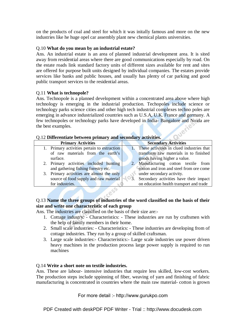on the products of coal and steel for which it was initally famous and more on the new industries like he huge opel car assembly plant new chemical plants universities.

#### Q.10 **What do you mean by an industrial estate?**

Ans. An industrial estate is an area of planned industrial development area. It is sited away from residential areas where there are good communications especially by road. On the estate roads link standard factory units of different sizes available for rent and sites are offered for purpose built units designed by individual companies. The estates provide services like banks and public houses, and usually has plenty of car parking and good public transport services to the residential areas.

#### Q.11 **What is technopole?**

Ans. Technopole is a planned development within a concentrated area above where high technology is emerging in the industrial production. Techopoles include science or technology parks science cities and other high tech industrial complexes techno poles are emerging in advance industrialized countries such as U.S.A, U.K. France and germany. A few technopoles or technology parks have developed in India- Bangalore and Noida are the best examples.

#### Q.12 **Differentiate between primary and secondary activities.**

| <b>Primary Activities</b>                   | <b>Secondary Activities</b>                                                                          |
|---------------------------------------------|------------------------------------------------------------------------------------------------------|
| 1. Primary activities pertain to extraction | These activities in clued industries that                                                            |
| of raw materials from the earth's           | transform raw materials in to finished                                                               |
| surface.                                    | goods having higher a value.                                                                         |
| 2. Primary activities included hunting      | 2. Manufacturing cotton textile from                                                                 |
| and gathering fishing forestry etc.         | cotton and iron and steel from ore come                                                              |
| 3. Primary activities are almost the only   | under secondary activity.                                                                            |
| source of food supply and raw material      | $\begin{array}{ c c c }\n\hline\n\bullet & 3\n\end{array}$<br>Secondary activities have their impact |
| for industries.                             | on education health transport and trade                                                              |
|                                             |                                                                                                      |

#### Q.13 **Name the three groups of industries of the word classified on the basis of their size and write one characteristic of each group**

Ans. The industries are classified on the basis of their size are:-

- 1. Cottage industry: Characteristics: These industries are run by craftsmen with the help of family members in their home.
- 2. Small scale industries: Characteristics: These industries are developing from of cottage industries. They run by a group of skilled craftsman.
- 3. Large scale industries:- Characteristics:- Large scale industries use power driven heavy machines in the production process large power supply is required to run machines

#### Q.14 **Write a short note on textile industries.**

Ans. These are labour- intensive industries that require less skilled, low-cost workers. The production steps include sppinning of fiber, weaving of yarn and finishing of fabric manufacturing is concentrated in countries where the main raw material- cotton is grown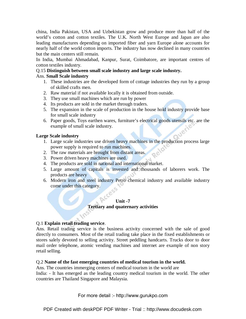china, India Pakistan, USA and Uzbekistan grow and produce more than half of the world's cotton and cotton textiles. The U.K. North West Europe and Japan are also leading manufactures depending on imported fiber and yarn Europe alone accounts for nearly half of the world cotton imports. The industry has now declined in many countries but the main centers still remain.

In India, Mumbai Ahmadabad, Kanpur, Surat, Coimbatore, are important centres of cotton textiles industry.

#### Q.15 **Distinguish between small scale industry and large scale industry.**

#### Ans. **Small Scale industry**

- 1. These industries are the developed form of cottage industries they run by a group of skilled crafts men.
- 2. Raw material if not available locally it is obtained from outside.
- 3. They use small machines which are run by power
- 4. Its products are sold in the market through traders.
- 5. The expansion in the scale of production in the house hold industry provide base for small scale industry
- 6. Paper goods, Toys earthen wares, furniture's electrical goods utensils etc. are the example of small scale industry.

#### **Large Scale industry**

- 1. Large scale industries use driven heavy machines in the production process large power supply is required to run machines.
- 2. The raw materials are brought from distant areas.
- 3. Power driven heavy machines are used.
- 4. The products are sold in national and international market.
- 5. Large amount of capitals is invested and thousands of laborers work. The products are heavy
- 6. Modern iron and steel industry Petro chemical industry and available industry come under this category.

#### **Unit -7 Tertiary and quaternary activities**

#### Q.1 **Explain retail trading service**.

Ans. Retail trading service is the business activity concerned with the sale of good directly to consumers. Most of the retail trading take place in the fixed establishments or stores salely devoted to selling activity. Street peddling handcarts. Trucks door to door mail order telephone, atomic vending machines and internet are example of non story retail selling.

#### Q.2 **Name of the fast emerging countries of medical tourism in the world.**

Ans. The countries immerging centers of medical tourism in the world are India: - It has emerged as the leading country medical tourism in the world. The other countries are Thailand Singapore and Malaysia.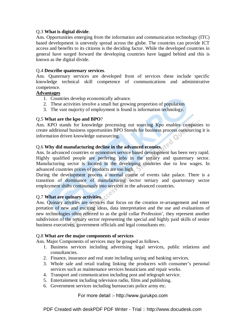#### Q.3 **What is digital divide**.

Ans. Opportunities emerging from the information and communication technology (ITC) based development is unevenly spread across the globe. The countries can provide ICT access and benefits to its citizens is the deciding factor. While the developed countries in general have surged forward the developing countries have lagged behind and this is known as the digital divide.

#### Q.4 **Describe quaternary services**.

Ans. Quaternary services are developed from of services these include specific knowledge technical skill competence of communications and administrative competence.

#### **Advantages**

- 1. Countries develop economically advance.
- 2. These activities involve a small but growing proportion of population
- 3. The vast majority of employment is found is information technology.

#### Q.5 **What are the kpo and BPO**?

Ans. KPO stands for knowledge processing out sourcing Kpo enables companies to create additional business opportunities BPO Stends for business process outsourcing it is information driven knowledge outsourcing.

Q.6 **Why did manufacturing decline in the advanced ecomies**. Ans. In advanced countries or economies service based development has been very rapid. Highly qualified people are perfering jobs in the tertiary and quaternary sector. Manufacturing sector is located in the developing countries due to low wages. In advanced countries prices of products are too high.

During the development process a normal course of events take palace. There is a transition of dominance of manufacturing sector tertiary and quarternary sector employment shifts continuously into services in the advanced countries.

#### Q.7 **What are quinary activities**.

Ans. Quinary ativities are services that focus on the creation re-arrangement and enter pretation of new and exciting ideas, data interpretation and the use and evaluations of new technologies often referred to as the gold collar Profession', they represent another subdivision of the tertiary sector representing the special and highly paid skills of senior business executives, government officials and legal consultants etc.

#### Q.8 **What are the major components of services**

Ans. Major Components of services may be grouped as follows.

- 1. Business services including advertising legal services, public relations and consultancies.
- 2. Finance, insurance and real state including saving and banking services.
- 3. Whole sale and retail trading linking the producers with consumer's personal services such as maintenance services beauticians and repair works.
- 4. Transport and communication including post and telegraph service.
- 5. Entertainment including television radio, films and publishing.
- 6. Government services including bureaucrats police army etc.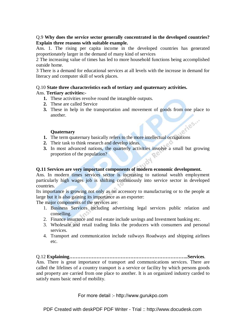#### Q.9 **Why does the service sector generally concentrated in the developed countries? Explain three reasons with suitable example.**

Ans. 1. The rising per capita income in the developed countries has generated proportionately larger in the demand of many kind of services

2 The increasing value of times has led to more household functions being accomplished outside home.

3 There is a demand for educational services at all levels with the increase in demand for literacy and computer skill of work places.

#### Q.10 **State three characteristics each of tertiary and quaternary activities.**

#### Ans. **Tertiary activities:-**

- **1.** These activities revolve round the intangible outputs.
- **2.** These are called Service
- **3.** These in help in the transportation and movement of goods from one place to another. ories."

#### **Quaternary**

- **1.** The term quaternary basically refers to the more intellectual occupations
- **2.** Their task to think research and develop ideas.
- **3.** In most advanced nations, the quarterly activities involve a small but growing proportion of the population?

#### **Q.11 Services are very important components of modern economic development.**

Ans. In modern times services sector is increasing to national wealth employment particularly high wages job is shifting continuously into service sector in developed countries.

Its importance is growing not only as on accessory to manufacturing or to the people at large but it is also gaining its importance as an exporter:

The major components of the services are:

- 1. Business Services including advertising legal services public relation and conselling.
- 2. Finance insurance and real estate include savings and Investment banking etc.
- 3. Wholesale and retail trading links the producers with consumers and personal services.
- 4. Transport and communication include railways Roadways and shipping airlines etc.

Q.12 **Explaining………………………………………………………………..Services**.

Ans. There is great importance of transport and communications services. There are called the lifelines of a country transport is a service or facility by which persons goods and property are carried from one place to another. It is an organized industry carded to satisfy mans basic need of mobility.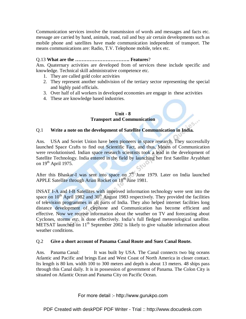Communication services involve the transmission of words and messages and facts etc. message are carried by hand, animals, road, rail and buy air certain developments such as mobile phone and satellites have made communication independent of transport. The means communications are: Radio, T.V. Telephone mobile, telex etc.

#### Q.13 **What are the ……………………………. Features**?

Ans. Quaternary activities are developed from of services these include specific and knowledge. Technical skill administrative competence etc.

- 1. They are called gold color activities
- 2. They represent another subdivision of the tertiary sector representing the special and highly paid officials.
- 3. Over half of all workers in developed economies are engage in these activities
- 4. These are knowledge based industries.

#### **Unit - 8 Transport and Communication**

#### Q.1 **Write a note on the development of Satellite Communication in India.**

Ans. USA and Soviet Union have been pioneers in space research. They successfully launched Space Crafts to find out Scientific Fact, and thus, Means of Communication were revolutionised. Indian space research scientists took a lead in the development of Satellite Technology. India entered in the field by launching her first Satellite Aryabhatt on 19<sup>th</sup> April 1975.

After this Bhaskar-I was sent into space on 7<sup>th</sup> June 1979. Later on India launched APPLE Satellite through Arian Rocket on 18<sup>th</sup> June 1981.

INSAT I-A and I-B Satellites with improved information technology were sent into the space on  $10^{th}$  April 1982 and  $30^{th}$  August 1983 respectively. They provided the facilities of television programmes in all parts of India. They also helped internet facilities long distance development of clephone and Communication has become efficient and effective. Now we receive information about the weather on TV and forecasting about Cyclones, storms etc. is done effectively. India's full fledged meteorological satellite. METSAT launched on 11<sup>th</sup> September 2002 is likely to give valuable information about weather conditions.

#### Q.2 **Give a short account of Panama Canal Route and Suez Canal Route.**

Ans. Panama Canal: It was built by USA. The Canal connects two big oceans Atlantic and Pacific and brings East and West Coast of North America in closer contact. Its length is 80 km. width 100 to 300 meters and depth is about 13 meters. 48 ships pass through this Canal daily. It is in possession of government of Panama. The Colon City is situated on Atlantic Ocean and Panama City on Pacific Ocean.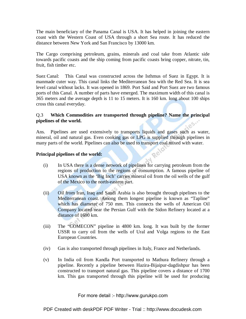The main beneficiary of the Panama Canal is USA. It has helped in joining the eastern coast with the Western Coast of USA through a short Sea route. It has reduced the distance between New York and San Francisco by 13000 km.

The Cargo comprising petroleum, grains, minerals and coal take from Atlantic side towards pacific coasts and the ship coming from pacific coasts bring copper, nitrate, tin, fruit, fish timber etc.

Suez Canal: This Canal was constructed across the Isthmus of Suez in Egypt. It is manmade cuter way. This canal links the Mediterranean Sea with the Red Sea. It is sea level canal without lacks. It was opened in 1869. Port Said and Port Suez are two famous ports of this Canal. A number of parts have emerged. The maximum width of this canal is 365 meters and the average depth is 11 to 15 meters. It is 160 km. long about 100 ships cross this canal everyday.

#### Q.3 **Which Commodities are transported through pipeline? Name the principal pipelines of the world.**

Ans. Pipelines are used extensively to transports liquids and gases such as water, mineral, oil and natural gas. Even cooking gas or LPG is supplied through pipelines in many parts of the world. Pipelines can also be used to transport coal mixed with water.

#### **Principal pipelines of the world:**

- (i) In USA there is a dense network of pipelines for carrying petroleum from the regions of production to the regions of consumption. A famous pipeline of USA known as the 'Big Inch' carries mineral oil from the oil wells of the gulf of the Mexico to the north-eastern part.
- (ii) Oil from Iran, Iraq and Saudi Arabia is also brought through pipelines to the Mediterranean coast. Among them longest pipeline is known as "Tapline" which has diameter of 750 mm. This connects the wells of American Oil Company located near the Persian Gulf with the Sidon Refinery located at a distance of 1600 km.
- (iii) The "COMECON" pipeline in 4800 km. long. It was built by the former USSR to carry oil from the wells of Ural and Volga regions to the East European Countries.
- (iv) Gas is also transported through pipelines in Italy, France and Netherlands.
- (v) In India oil from Kandla Port transported to Mathura Refinery through a pipeline. Recently a pipeline between Hazira-Bijaipur-dagdishpur has been constructed to transport natural gas. This pipeline covers a distance of 1700 km. This gas transported through this pipeline will be used for producing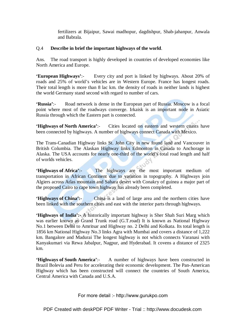fertilizers at Bijaipur, Sawai madhopur, dagdishpur, Shab-jahanpur, Anwala and Babrala.

#### Q.4 **Describe in brief the important highways of the world**.

Ans. The road transport is highly developed in countries of developed economies like North America and Europe.

**'European Highways'**:- Every city and port is linked by highways. About 20% of roads and 25% of world's vehicles are in Western Europe. France has longest roads. Their total length is more than 8 lac km. the density of roads in neither lands is highest the world Germany stand second with regard to number of cars.

**'Russia'**:- Road network is dense in the European part of Russia. Moscow is a focal point where most of the roadways converge. Irkaisk is an important node in Asiatic Russia through which the Eastern part is connected.

**'Highways of North America'**:- Cities located on eastern and western coasts have been connected by highways. A number of highways connect Canada with Mexico.

The Trans-Canadian Highway links St. John City in new found land and Vancouver in British Columbia. The Alaskan Highway links Edmonton in Canada to Anchorage in Alaska. The USA accounts for nearly one-third of the world's total road length and half of worlds vehicles.

**'Highways of Africa'**:- The highways are the most important medium of transportation in African Continent due to variation in topography. A Highways join Algiers across Atlas mountain and Sahara desert with Conakry of guinea a major part of the proposed Cairo to cape town highway has already been completed.

**'Highways of China':-** China is a land of large area and the northern cities have been linked with the southern cities and east with the interior parts through highways.

**'Highways of India':-** A historically important highway is Sher Shah Suri Marg which was earlier known as Grand Trunk road (G.T.road) It is known as National Highway No.1 between Delhi to Amritsar and Highway no. 2 Delhi and Kolkata. Its total length is 1856 km National Highway No.3 links Agra with Mumbai and covers a distance of 1,222 km. Bangalore and Madurai The longest highway is not which connects Varanasi with Kanyakumari via Rewa Jabalpur, Nagpur, and Hyderabad. It covens a distance of 2325 km.

**'Highways of South America'**:- A number of highways have been constructed in Brazil Bolevia and Peru for accelerating their economic development. The Pan-American Highway which has been constructed will connect the countries of South America, Central America with Canada and U.S.A.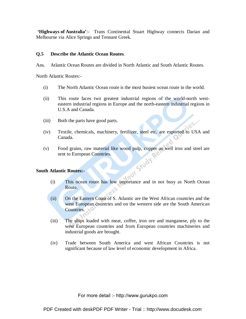**'Highways of Australia'**:- Trans Continental Stuart Highway connects Darian and Melbourne via Alice Springs and Tennant Greek.

#### **Q.5 Describe the Atlantic Ocean Routes**.

Ans. Atlantic Ocean Routes are divided in North Atlantic and South Atlantic Routes.

North Atlantic Routes:-

- (i) The North Atlantic Ocean route is the most busiest ocean route in the world.
- (ii) This route faces two greatest industrial regions of the world-north westeastern industrial regions in Europe and the north-eastern industrial regions in U.S.A and Canada.
- (iii) Both the parts have good parts.
- (iv) Textile, chemicals, machinery, fertilizer, steel etc. are exported to USA and Canada.
- (v) Food grains, raw material like wood pulp, copper as well iron and steel are sent to European Countries.<br> **at the Atlantic Routes:**<br>
(i) This sent to European Countries.

#### **South Atlantic Routes:-**

- (i) This ocean route has low importance and in not busy as North Ocean Route.
- (ii) On the Eastern Coast of S. Atlantic are the West African countries and the west European countries and on the western side are the South American Countries.
- (iii) The ships loaded with meat, coffee, iron ore and manganese, ply to the west European countries and from European countries machineries and industrial goods are brought.
- (iv) Trade between South America and west African Countries is not significant because of law level of economic development in Africa.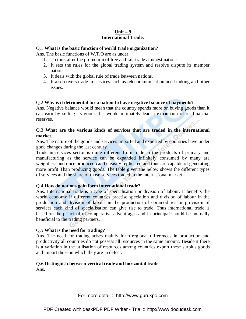#### **Unit – 9 International Trade.**

#### Q.1 **What is the basic function of world trade organization?**

Ans. The basic functions of W.T.O are as under.

- 1. To took after the promotion of free and fair trade amongst nations.
- 2. It sets the rules for the global trading system and resolve dispute its member nations.
- 3. It deals with the global rule of trade between nations.
- 4. It also covers trade in services such as telecommunication and banking and other issues.

#### Q.2 **Why is it detrimental for a nation to have negative balance of payments?**

Ans. Negative balance would mean that the country spends more on buying goods than it can earn by selling its goods this would ultimately lead a exhaustion of its financial reserves.

#### Q.3 **What are the various kinds of services that are traded in the international market**.

Ans. The nature of the goods and services imported and exported by countries have under gone changes during the last century.

Trade in services sector is quite different from trade in the products of primary and manufacturing as the service can be expanded infinitely consumed by many are weightless and once produced can be easily replicated and thus are capable of generating more profit Than producing goods. The table given the below shows the different types of services and the share of those services traded in the international market.

#### Q.4 **How do nations gain form international trade?**

Ans. International trade is a type of specialisation or division of labour. It benefits the world economy if different countries practise specialion and division of labour in the production and division of labour in the production of commodities or provision of services each kind of specialisation can give rise to trade. Thus international trade is based on the principal of comparative advent ages and in principal should be mutually beneficial to the trading partners.

#### Q.5 **What is the need for trading?**

Ans. The need for trading arises mainly form regional differences in production and productivity all countries do not possess all resources in the same amount. Beside it there is a variation in the utilisation of resources among countries export these surplus goods and import those in which they are in defect.

#### **Q.6 Distinguish between vertical trade and horizontal trade.**

Ans.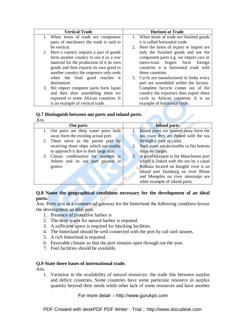| <b>Vertical Trade</b>                               | <b>Horizon at Trade</b>                      |  |  |  |
|-----------------------------------------------------|----------------------------------------------|--|--|--|
| 1. When items of trade are component                | 1. When items of trade are finished goods    |  |  |  |
| parts of machinery the trade is said to             | it is called horizontal trade.               |  |  |  |
| be vertical.                                        | Here the items of export or import are<br>2. |  |  |  |
| 2. Here a country imports a part of goods           | only the finished goods and not the          |  |  |  |
| form another country to use it as a row             | component parts e.g. we import cars or       |  |  |  |
| material for the production of it its own           | bogies form<br>metro-train<br>foreign        |  |  |  |
| goods and then exports its own good to              | countries it is horizontal trade with        |  |  |  |
| another country the sequence only ends              | those countries.                             |  |  |  |
| when the final good reaches it                      | Cycle are manufactured in India every<br>3.  |  |  |  |
| destination.                                        | part are assembled within the factory.       |  |  |  |
| 3. We import computer parts form Japan              | Complete bicycle comes out of the            |  |  |  |
| and then after assembling them we                   | country the exporters then export these      |  |  |  |
| exported to some African countries. It              | cycle to African countries. It is an         |  |  |  |
| is an example of vertical trade.                    | example of horizontal trade.                 |  |  |  |
|                                                     |                                              |  |  |  |
| Q.7 Distinguish between out ports and inland ports. |                                              |  |  |  |

### **Q.7 Distinguish between out ports and inland ports.**

Ans.

| AIIS. |                                         |    |                                             |
|-------|-----------------------------------------|----|---------------------------------------------|
|       | Out parts                               |    | <b>Inland parts</b>                         |
|       | 1. Out ports are deep water ports built |    | 1. Inland ports are located away form the   |
|       | away form the existing actual port.     |    | sea coast they are linked with the sea      |
|       | 2. These serve as the parent port by    |    | through a river or canal.                   |
|       | receiving those ships which are unable  |    | 2. Such ports are accessible to flat bottom |
|       | to approach it due to their large size. |    | ships on barges.                            |
|       | 3. Classic combination for example is   | 3. | A good example is the Manchester port       |
|       | Athens and its out port piraeus in      |    | which is linked with the sea by a canal     |
|       | greece.                                 |    | Kolkata located on hooghli river is an      |
|       |                                         |    | inland port Duisburg on river Rhine         |
|       |                                         |    | and Memphis on river mississipi are         |
|       |                                         |    | other example of inland parts.              |
|       |                                         |    |                                             |

#### **Q.8 Name the geographical conditions necessary for the development of an ideal ports.**

Ans. Ports acts as a commercial gateway for the hinterland the following condition favour the development an idial port.

- 1. Presence of protective harbor is
- 2. The deep water for natural harbor is required.
- 3. A sufficient space is required for blocking facilities.
- 4. The hinterland should be well connected with the port by rail rard raoutes.
- 5. A rich hinterland is required.
- 6. Favorable climate so that the port remains open through out the year.
- 7. Fuel facilities should be available.

#### **Q.9 State there bases of international trade.**

Ans.

1. Variation in the availability of natural resources: the trade this between surplus and deficit countries. Some countries have some particular resource in surplus quantity beyond their needs while other lack of some resources and have another

For more detail :- http://www.gurukpo.com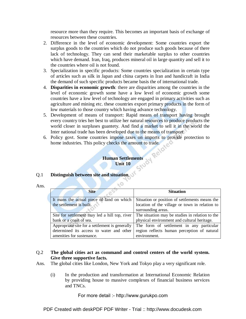resource more than they require. This becomes an important basis of exchange of resources between these countries.

- 2. Difference in the level of economic development: Some countries export the surplus goods to the countries which do not produce such goods because of there lack of technology. They can send their marketable surplus to other countries which have demand. Iran, Iraq, produces mineral oil in large quantity and sell it to the countries where oil is not found.
- 3. Specialization in specific products: Some countries specialization in certain type of articles such as silk in Japan and china carpets in Iran and handicraft in India the demand of such specific products became basis the of international trade.
- 4. **Disparities in economic growth**: there are disparities among the countries in the level of economic growth some have a low level of economic growth some countries have a low level of technology are engaged in primary activities such as agriculture and mining etc. these countries export primary products in the form of low materials to those country which having advance technology.
- 5. Development of means of transport: Rapid means of transport having brought every country tries her best to utilize her natural resources to produce products the world closer in surpluses guantety. And find a market to sell it in the world the Inter national trade has been developed due to the means of transport
- 6. Policy govt. Some countries impose taxes on imports to provide protection to home industries. This policy checks the amount to trade.

#### **Human Settlements Unit 10**

 $\times$ O

## Q.1 **Distinguish between site and situation**.

Ans.

| <b>Site</b>                                    | <b>Situation</b>                                |
|------------------------------------------------|-------------------------------------------------|
| It mans the actual piece of land on which      | Situation or position of settlements means the  |
| the settlement is built.                       | location of the village or town in relation to  |
|                                                | surrounding areas.                              |
| Site for settlement may led a hill top, river  | The situation may be studies in relation to the |
| bank or a coast of sea.                        | physical environment and cultural heritage.     |
| Appropriate site for a settlement is generally | The form of settlement in any particular        |
| determined its access to water and other       | region reflects human perception of natural     |
| amenities for sustenance.                      | environment.                                    |

#### Q.2 **The global cities act as command and control centers of the world system. Give three supportive facts.**

- Ans. The global cities like London, New York and Tokyo play a very significant role.
	- (i) In the production and transformation at International Economic Relation by providing house to massive complexes of financial business services and TNCs.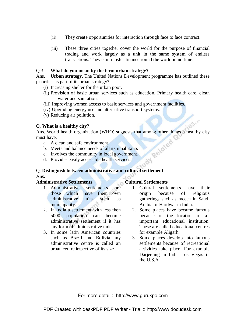- (ii) They create opportunities for interaction through face to face contract.
- (iii) These three cities together cover the world for the purpose of financial trading and work largely as a unit in the same system of endless transactions. They can transfer finance round the world in no time.

#### Q.3 **What do you mean by the term urban strategy?**

Ans. **Urban strategy**. The United Nations Development programme has outlined these priorities as part of its urban strategy?

- (i) Increasing shelter for the urban poor.
- (ii) Provision of basic urban services such as education. Primary health care, clean water and sanitation.
- (iii) Improving women access to basic services and government facilities.
- (iv) Upgrading energy use and alternative transport systems.
- (v) Reducing air pollution.

#### Q. **What is a healthy city?**

Ans. World health organization (WHO) suggests that among other things a healthy city<br>must have.<br>a. A clean and safe environment.<br>b. Meets and balance needs of all its inhabitants<br>c. Involves the community in local must have.

- a. A clean and safe environment.
- b. Meets and balance needs of all its inhabitants
- c. Involves the community in local government.
- d. Provides easily accessible health services.

# Q. **Distinguish between administrative and cultural settlement**.

Ans.

| <b>Administrative Settlements</b> |                                             | <b>Cultural Settlements</b>          |  |
|-----------------------------------|---------------------------------------------|--------------------------------------|--|
|                                   | settlements<br>1. Administrative<br>are     | 1. Culural settlements have<br>their |  |
|                                   | those which<br>their own<br>have            | because of<br>religious<br>origin    |  |
|                                   | administrative<br>uits<br>such<br><b>as</b> | gatherings such as mecca in Saudi    |  |
|                                   | municipality.                               | Arabia or Hardwar in India.          |  |
|                                   | 2. In India a settlement with less then     | 2. Some places have became famous    |  |
|                                   | 5000 population can become                  | because of the location of an        |  |
|                                   | administrative settlement if it has         | important educational institution.   |  |
|                                   | any form of administrative unit.            | These are called educational centres |  |
|                                   | 3. In some latin American countries         | for example Aligarh.                 |  |
|                                   | such as Brazil and Bolivia any              | 3. Some places develop into famous   |  |
|                                   | administrative centre is called an          | settlements because of recreational  |  |
|                                   | urban centre irrpective of its size         | activities take place. For example   |  |
|                                   |                                             | Darjeeling in India Los Vegas in     |  |
|                                   |                                             | the U.S.A                            |  |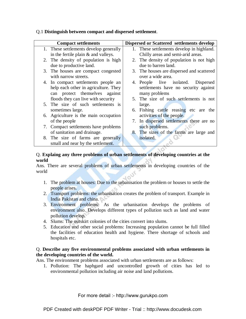| <b>Dispersed or Scattered settlements develop</b><br><b>Compact settlements</b>     |  |
|-------------------------------------------------------------------------------------|--|
| 1. These settlements develop generally<br>1. These settlements develop in highland. |  |
| Chilly areas and semi-arid areas.<br>in the fertile plain $&$ and valleys.          |  |
| 2. The density of population is high<br>2. The density of population is not high    |  |
| due to barren land.<br>due to productive land.                                      |  |
| 3. The houses are compact congested<br>3. The houses are dispersed and scattered    |  |
| over a wide area.<br>with narrow streets.                                           |  |
| 4. In compact settlements people an<br>4. People live isolated. Dispersed           |  |
| help each other in agriculture. They<br>settlements have no security against        |  |
| can protect themselves against<br>many problems                                     |  |
| 5. The size of such settlements is not<br>floods they can live with security        |  |
| 5. The size of such settlements is<br>large.                                        |  |
| 6. Fishing cattle reasing etc are the<br>sometimes large.                           |  |
| 6. Agriculture is the main occupation<br>activities of the people.                  |  |
| 7. In dispersed settlements there are no<br>of the people                           |  |
| 7. Compact settlements have problems<br>such problems.                              |  |
| 8. The sizes of the farms are large and<br>of sanitation and drainage.              |  |
| 8. The size of farms are generally<br>isolated.                                     |  |
| small and near by the settlement.                                                   |  |

#### Q.1 **Distinguish between compact and dispersed settlement**.

#### Q. **Explaing any three problems of urban settlements of developing countries at the world**

Ans. There are several problems of urban settlements in developing countries of the world

- 1. The problem at houses: Due to the urbanisation the problem or houses to settle the people arises.
- 2. Transport problems: the urbanisation creates the problem of transport. Example in India Pakistan and china.
- 3. Environment problems: As the urbanisation develops the problems of environment also. Develops different types of pollution such as land and water pollution develop.
- 4. Slums: The outskirt colonies of the cities convert into slums.
- 5. Education and other social problems: Increasing population cannot be full filled the facilities of education health and hygiene. There shortage of schools and hospitals etc.

#### Q. **Describe any five environmental problems associated with urban settlements in the developing countries of the world.**

Ans. The environment problems associated with urban settlements are as follows:

1. Pollution: The haphgard and uncontrolled growth of cities has led to environmental pollution including air noise and land pollutions.